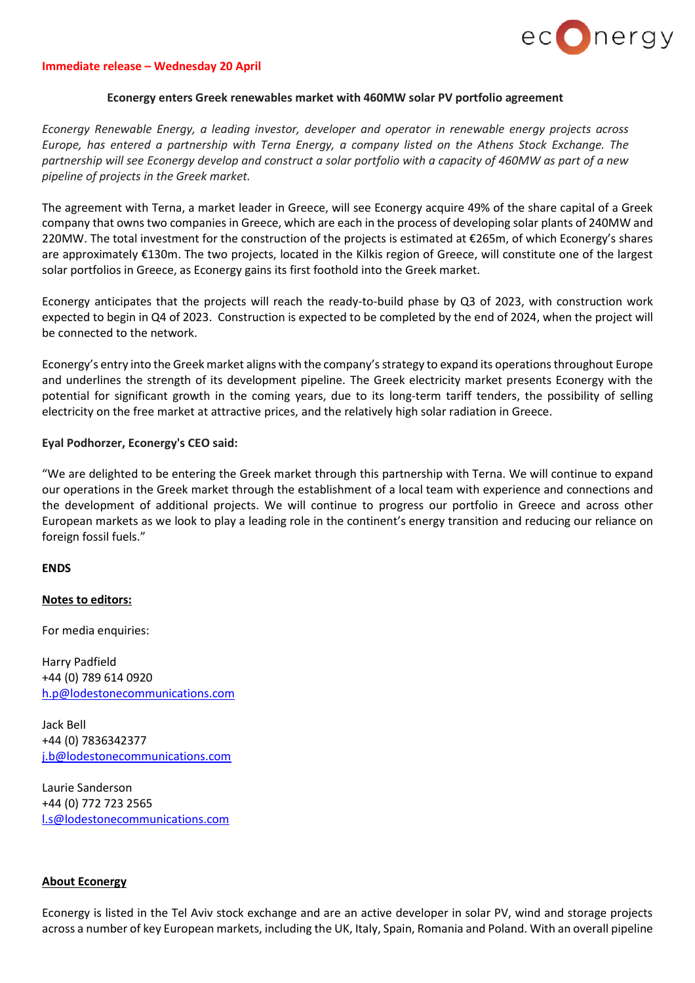

#### **Immediate release – Wednesday 20 April**

### **Econergy enters Greek renewables market with 460MW solar PV portfolio agreement**

*Econergy Renewable Energy, a leading investor, developer and operator in renewable energy projects across Europe, has entered a partnership with Terna Energy, a company listed on the Athens Stock Exchange. The* partnership will see Econergy develop and construct a solar portfolio with a capacity of 460MW as part of a new *pipeline of projects in the Greek market.*

The agreement with Terna, a market leader in Greece, will see Econergy acquire 49% of the share capital of a Greek company that owns two companies in Greece, which are each in the process of developing solar plants of 240MW and 220MW. The total investment for the construction of the projects is estimated at  $\epsilon$ 265m, of which Econergy's shares are approximately €130m. The two projects, located in the Kilkis region of Greece, will constitute one of the largest solar portfolios in Greece, as Econergy gains its first foothold into the Greek market.

Econergy anticipates that the projects will reach the ready-to-build phase by Q3 of 2023, with construction work expected to begin in Q4 of 2023. Construction is expected to be completed by the end of 2024, when the project will be connected to the network.

Econergy's entry into the Greek market aligns with the company's strategy to expand its operations throughout Europe and underlines the strength of its development pipeline. The Greek electricity market presents Econergy with the potential for significant growth in the coming years, due to its long-term tariff tenders, the possibility of selling electricity on the free market at attractive prices, and the relatively high solar radiation in Greece.

# **Eyal Podhorzer, Econergy's CEO said:**

"We are delighted to be entering the Greek market through this partnership with Terna. We will continue to expand our operations in the Greek market through the establishment of a local team with experience and connections and the development of additional projects. We will continue to progress our portfolio in Greece and across other European markets as we look to play a leading role in the continent's energy transition and reducing our reliance on foreign fossil fuels."

### **ENDS**

# **Notes to editors:**

For media enquiries:

Harry Padfield +44 (0) 789 614 0920 [h.p@lodestonecommunications.com](mailto:h.p@lodestonecommunications.com)

Jack Bell +44 (0) 7836342377 [j.b@lodestonecommunications.com](mailto:j.b@lodestonecommunications.com)

Laurie Sanderson +44 (0) 772 723 2565 [l.s@lodestonecommunications.com](mailto:l.s@lodestonecommunications.com)

#### **About Econergy**

Econergy is listed in the Tel Aviv stock exchange and are an active developer in solar PV, wind and storage projects across a number of key European markets, including the UK, Italy, Spain, Romania and Poland. With an overall pipeline